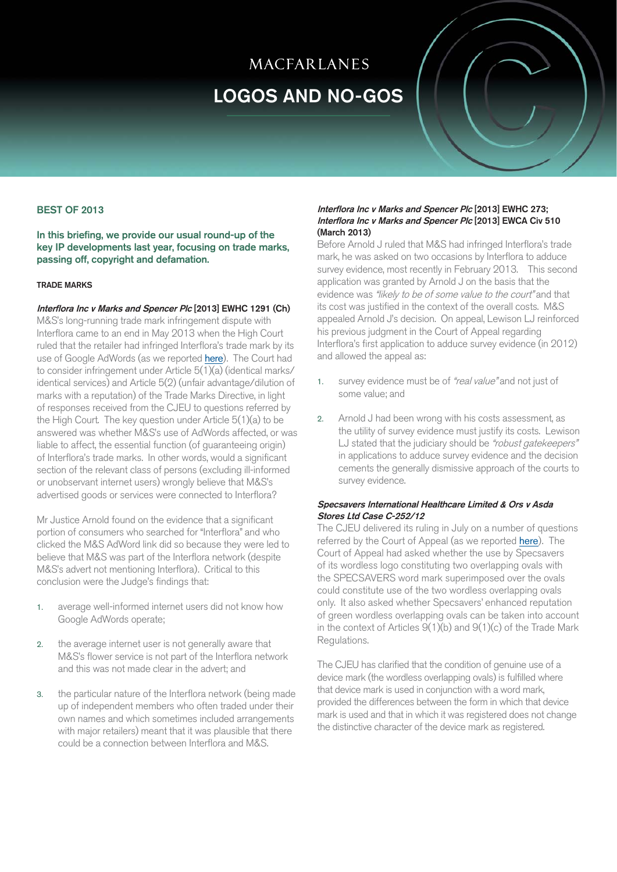# MACFARLANES

# [LOGOS AND NO-GOS](http://www.macfarlanes.com/practice-areas/ip-and-it.aspx)

# BEST OF 2013

In this briefing, we provide our usual round-up of the key IP developments last year, focusing on trade marks, passing off, copyright and defamation.

#### TRADE MARKS

Interflora Inc v Marks and Spencer Plc [2013] EWHC 1291 (Ch) M&S's long-running trade mark infringement dispute with Interflora came to an end in May 2013 when the High Court ruled that the retailer had infringed Int[erflora's tra](http://www.macfarlanes.com/media/715762/logos%20and%20nogos%20-%20high%20court%20delivers%20for%20interflora.pdf)de mark by its use of Google AdWords (as we reported here). The Court had to consider infringement under Article 5(1)(a) (identical marks/ identical services) and Article 5(2) (unfair advantage/dilution of marks with a reputation) of the Trade Marks Directive, in light of responses received from the CJEU to questions referred by the High Court. The key question under Article 5(1)(a) to be answered was whether M&S's use of AdWords affected, or was liable to affect, the essential function (of guaranteeing origin) of Interflora's trade marks. In other words, would a significant section of the relevant class of persons (excluding ill-informed or unobservant internet users) wrongly believe that M&S's advertised goods or services were connected to Interflora?

Mr Justice Arnold found on the evidence that a significant portion of consumers who searched for "Interflora" and who clicked the M&S AdWord link did so because they were led to believe that M&S was part of the Interflora network (despite M&S's advert not mentioning Interflora). Critical to this conclusion were the Judge's findings that:

- 1. average well-informed internet users did not know how Google AdWords operate;
- 2. the average internet user is not generally aware that M&S's flower service is not part of the Interflora network and this was not made clear in the advert; and
- 3. the particular nature of the Interflora network (being made up of independent members who often traded under their own names and which sometimes included arrangements with major retailers) meant that it was plausible that there could be a connection between Interflora and M&S.

### Interflora Inc v Marks and Spencer Plc [2013] EWHC 273; Interflora Inc v Marks and Spencer Plc [2013] EWCA Civ 510 (March 2013)

Before Arnold J ruled that M&S had infringed Interflora's trade mark, he was asked on two occasions by Interflora to adduce survey evidence, most recently in February 2013. This second application was granted by Arnold J on the basis that the evidence was "likely to be of some value to the court" and that its cost was justified in the context of the overall costs. M&S appealed Arnold J's decision. On appeal, Lewison LJ reinforced his previous judgment in the Court of Appeal regarding Interflora's first application to adduce survey evidence (in 2012) and allowed the appeal as:

- 1. survey evidence must be of "real value" and not just of some value; and
- 2. Arnold J had been wrong with his costs assessment, as the utility of survey evidence must justify its costs. Lewison LJ stated that the judiciary should be "robust gatekeepers" in applications to adduce survey evidence and the decision cements the generally dismissive approach of the courts to survey evidence.

# Specsavers International Healthcare Limited & Ors v Asda Stores Ltd Case C-252/12

The CJEU delivered its ruling in July on a number of questions referred by the Court of Appeal (as we reported here). The Court of Appeal had asked whether the use b[y Specsave](http://www.macfarlanes.com/media/724905/logos%20and%20nogos%20-%20cjeu%20sees%20clearly%20through%20green-tinted%20spectacles2.pdf)rs of its wordless logo constituting two overlapping ovals with the SPECSAVERS word mark superimposed over the ovals could constitute use of the two wordless overlapping ovals only. It also asked whether Specsavers' enhanced reputation of green wordless overlapping ovals can be taken into account in the context of Articles 9(1)(b) and 9(1)(c) of the Trade Mark Regulations.

The CJEU has clarified that the condition of genuine use of a device mark (the wordless overlapping ovals) is fulfilled where that device mark is used in conjunction with a word mark, provided the differences between the form in which that device mark is used and that in which it was registered does not change the distinctive character of the device mark as registered.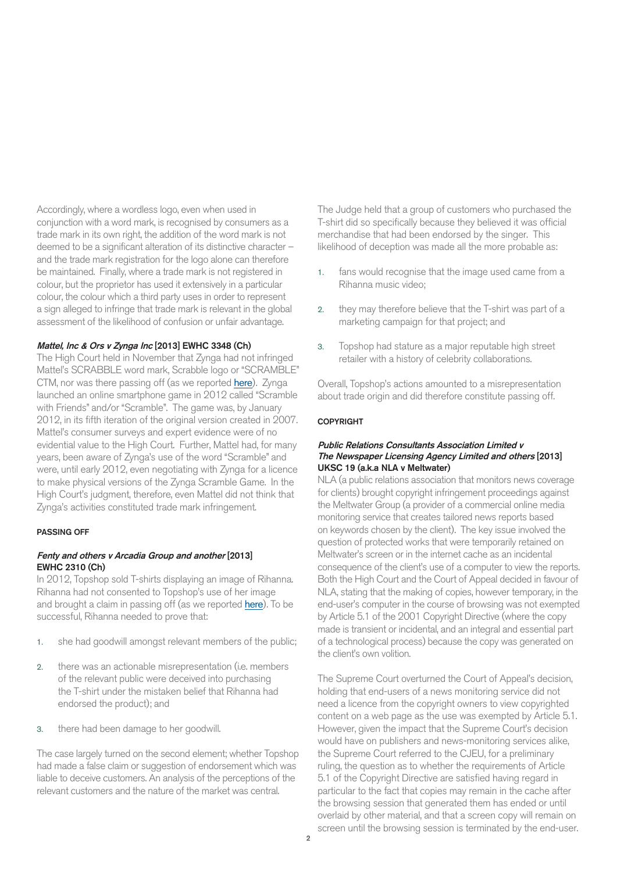Accordingly, where a wordless logo, even when used in conjunction with a word mark, is recognised by consumers as a trade mark in its own right, the addition of the word mark is not deemed to be a significant alteration of its distinctive character – and the trade mark registration for the logo alone can therefore be maintained. Finally, where a trade mark is not registered in colour, but the proprietor has used it extensively in a particular colour, the colour which a third party uses in order to represent a sign alleged to infringe that trade mark is relevant in the global assessment of the likelihood of confusion or unfair advantage.

# Mattel, Inc & Ors v Zynga Inc [2013] EWHC 3348 (Ch)

The High Court held in November that Zynga had not infringed Mattel's SCRABBLE word mark, Scrabble logo or "SCRAMBLE" CTM, nor was there passing off (as we reported [here](http://www.macfarlanes.com/media/752121/logos%20and%20nogos%20-%20high%20court%20teaches%20mattel%20how%20to%20lose%20at%20scrabble%20-%20nov%2013_2.pdf)). Zynga launched an online smartphone game in 2012 called "Scramble with Friends" and/or "Scramble". The game was, by January 2012, in its fifth iteration of the original version created in 2007. Mattel's consumer surveys and expert evidence were of no evidential value to the High Court. Further, Mattel had, for many years, been aware of Zynga's use of the word "Scramble" and were, until early 2012, even negotiating with Zynga for a licence to make physical versions of the Zynga Scramble Game. In the High Court's judgment, therefore, even Mattel did not think that Zynga's activities constituted trade mark infringement.

#### PASSING OFF

# Fenty and others v Arcadia Group and another [2013] EWHC 2310 (Ch)

In 2012, Topshop sold T-shirts displaying an image of Rihanna. Rihanna had not consented to Topshop's use of her image and brought a claim in passing off (as we reported [here](http://www.macfarlanes.com/media/736741/logos%20and%20nogos%20-%20rihanna%20vs%20topshop%20t-shirt%20face%20off2.pdf)). To be successful, Rihanna needed to prove that:

- 1. she had goodwill amongst relevant members of the public;
- 2. there was an actionable misrepresentation (i.e. members of the relevant public were deceived into purchasing the T-shirt under the mistaken belief that Rihanna had endorsed the product); and
- 3. there had been damage to her goodwill.

The case largely turned on the second element; whether Topshop had made a false claim or suggestion of endorsement which was liable to deceive customers. An analysis of the perceptions of the relevant customers and the nature of the market was central.

The Judge held that a group of customers who purchased the T-shirt did so specifically because they believed it was official merchandise that had been endorsed by the singer. This likelihood of deception was made all the more probable as:

- 1. fans would recognise that the image used came from a Rihanna music video;
- 2. they may therefore believe that the T-shirt was part of a marketing campaign for that project; and
- 3. Topshop had stature as a major reputable high street retailer with a history of celebrity collaborations.

Overall, Topshop's actions amounted to a misrepresentation about trade origin and did therefore constitute passing off.

#### **COPYRIGHT**

### Public Relations Consultants Association Limited v The Newspaper Licensing Agency Limited and others [2013] UKSC 19 (a.k.a NLA v Meltwater)

NLA (a public relations association that monitors news coverage for clients) brought copyright infringement proceedings against the Meltwater Group (a provider of a commercial online media monitoring service that creates tailored news reports based on keywords chosen by the client). The key issue involved the question of protected works that were temporarily retained on Meltwater's screen or in the internet cache as an incidental consequence of the client's use of a computer to view the reports. Both the High Court and the Court of Appeal decided in favour of NLA, stating that the making of copies, however temporary, in the end-user's computer in the course of browsing was not exempted by Article 5.1 of the 2001 Copyright Directive (where the copy made is transient or incidental, and an integral and essential part of a technological process) because the copy was generated on the client's own volition.

The Supreme Court overturned the Court of Appeal's decision, holding that end-users of a news monitoring service did not need a licence from the copyright owners to view copyrighted content on a web page as the use was exempted by Article 5.1. However, given the impact that the Supreme Court's decision would have on publishers and news-monitoring services alike, the Supreme Court referred to the CJEU, for a preliminary ruling, the question as to whether the requirements of Article 5.1 of the Copyright Directive are satisfied having regard in particular to the fact that copies may remain in the cache after the browsing session that generated them has ended or until overlaid by other material, and that a screen copy will remain on screen until the browsing session is terminated by the end-user.